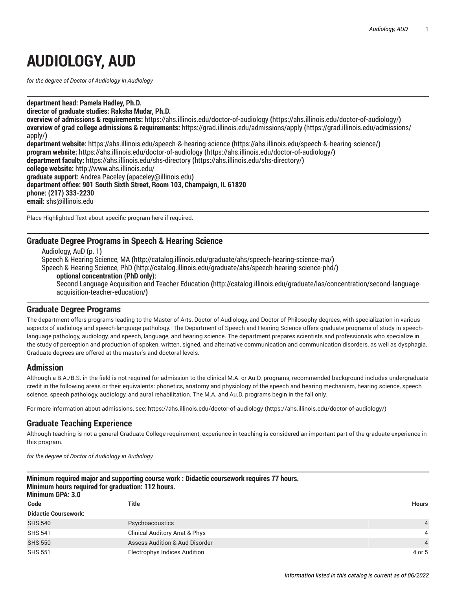# **AUDIOLOGY, AUD**

<span id="page-0-0"></span>*for the degree of Doctor of Audiology in Audiology*

**department head: Pamela Hadley, Ph.D.**

**director of graduate studies: Raksha Mudar, Ph.D.**

**overview of admissions & requirements:** [https://ahs.illinois.edu/doctor-of-audiology](https://ahs.illinois.edu/doctor-of-audiology/) **(**<https://ahs.illinois.edu/doctor-of-audiology/>**) overview of grad college admissions & requirements:** [https://grad.illinois.edu/admissions/apply](https://grad.illinois.edu/admissions/apply/) **(**[https://grad.illinois.edu/admissions/](https://grad.illinois.edu/admissions/apply/) [apply/](https://grad.illinois.edu/admissions/apply/)**) department website:** [https://ahs.illinois.edu/speech-&-hearing-science](https://ahs.illinois.edu/speech-&-hearing-science/) **(**<https://ahs.illinois.edu/speech-&-hearing-science/>**) program website:** [https://ahs.illinois.edu/doctor-of-audiology](https://ahs.illinois.edu/doctor-of-audiology/) **(**<https://ahs.illinois.edu/doctor-of-audiology/>**)**

**department faculty:** [https://ahs.illinois.edu/shs-directory](https://ahs.illinois.edu/shs-directory/) **(**<https://ahs.illinois.edu/shs-directory/>**) college website:** <http://www.ahs.illinois.edu/> **graduate support:** Andrea [Paceley](mailto:apaceley@illinois.edu) **(**<apaceley@illinois.edu>**) department office: 901 South Sixth Street, Room 103, Champaign, IL 61820**

**phone: (217) 333-2230**

**email:** [shs@illinois.edu](mailto:shs@illinois.edu)

Place Highlighted Text about specific program here if required.

## **Graduate Degree Programs in Speech & Hearing Science**

[Audiology,](#page-0-0) AuD **(**[p. 1](#page-0-0)**)** Speech & Hearing [Science,](http://catalog.illinois.edu/graduate/ahs/speech-hearing-science-ma/) MA **(**<http://catalog.illinois.edu/graduate/ahs/speech-hearing-science-ma/>**)** [Speech & Hearing Science, PhD](http://catalog.illinois.edu/graduate/ahs/speech-hearing-science-phd/) **(**<http://catalog.illinois.edu/graduate/ahs/speech-hearing-science-phd/>**) optional concentration (PhD only):** Second Language [Acquisition](http://catalog.illinois.edu/graduate/las/concentration/second-language-acquisition-teacher-education/) and Teacher Education **(**[http://catalog.illinois.edu/graduate/las/concentration/second-language](http://catalog.illinois.edu/graduate/las/concentration/second-language-acquisition-teacher-education/)[acquisition-teacher-education/](http://catalog.illinois.edu/graduate/las/concentration/second-language-acquisition-teacher-education/)**)**

#### **Graduate Degree Programs**

The department offers programs leading to the Master of Arts, Doctor of Audiology, and Doctor of Philosophy degrees, with specialization in various aspects of audiology and speech-language pathology. The Department of Speech and Hearing Science offers graduate programs of study in speechlanguage pathology, audiology, and speech, language, and hearing science. The department prepares scientists and professionals who specialize in the study of perception and production of spoken, written, signed, and alternative communication and communication disorders, as well as dysphagia. Graduate degrees are offered at the master's and doctoral levels.

#### **Admission**

Although a B.A./B.S. in the field is not required for admission to the clinical M.A. or Au.D. programs, recommended background includes undergraduate credit in the following areas or their equivalents: phonetics, anatomy and physiology of the speech and hearing mechanism, hearing science, speech science, speech pathology, audiology, and aural rehabilitation. The M.A. and Au.D. programs begin in the fall only.

For more information about admissions, see: [https://ahs.illinois.edu/doctor-of-audiology \(https://ahs.illinois.edu/doctor-of-audiology/](https://ahs.illinois.edu/doctor-of-audiology/))

## **Graduate Teaching Experience**

Although teaching is not a general Graduate College requirement, experience in teaching is considered an important part of the graduate experience in this program.

*for the degree of Doctor of Audiology in Audiology*

| Minimum required major and supporting course work : Didactic coursework requires 77 hours.<br>Minimum hours required for graduation: 112 hours.<br><b>Minimum GPA: 3.0</b> |                                           |                |  |  |
|----------------------------------------------------------------------------------------------------------------------------------------------------------------------------|-------------------------------------------|----------------|--|--|
| Code                                                                                                                                                                       | Title                                     | Hours          |  |  |
| <b>Didactic Coursework:</b>                                                                                                                                                |                                           |                |  |  |
| <b>SHS 540</b>                                                                                                                                                             | <b>Psychoacoustics</b>                    | $\overline{4}$ |  |  |
| <b>SHS 541</b>                                                                                                                                                             | <b>Clinical Auditory Anat &amp; Phys</b>  | 4              |  |  |
| <b>SHS 550</b>                                                                                                                                                             | <b>Assess Audition &amp; Aud Disorder</b> | $\overline{4}$ |  |  |
| <b>SHS 551</b>                                                                                                                                                             | <b>Electrophys Indices Audition</b>       | 4 or 5         |  |  |